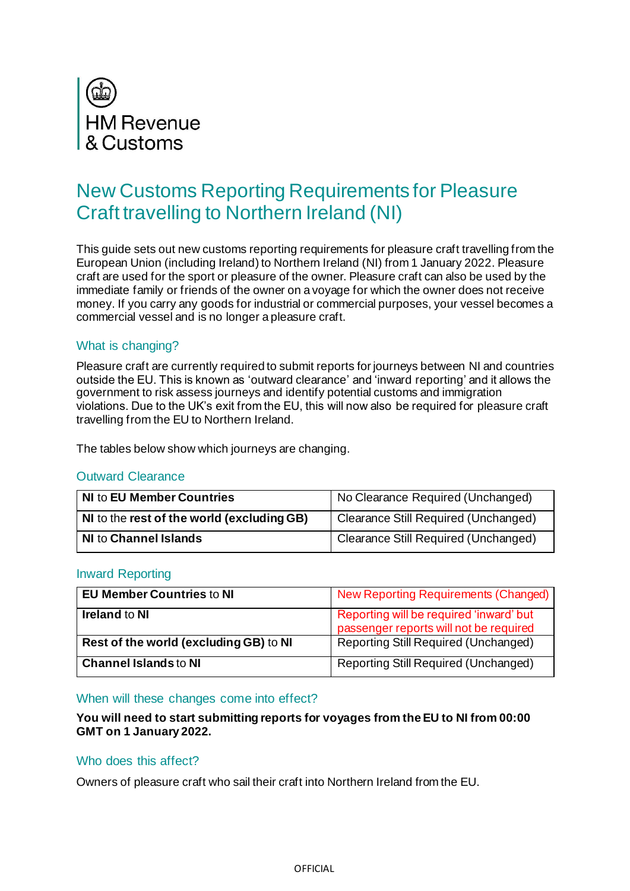

# New Customs Reporting Requirements for Pleasure Craft travelling to Northern Ireland (NI)

This guide sets out new customs reporting requirements for pleasure craft travelling from the European Union (including Ireland) to Northern Ireland (NI) from 1 January 2022. Pleasure craft are used for the sport or pleasure of the owner. Pleasure craft can also be used by the immediate family or friends of the owner on a voyage for which the owner does not receive money. If you carry any goods for industrial or commercial purposes, your vessel becomes a commercial vessel and is no longer a pleasure craft.

# What is changing?

Pleasure craft are currently required to submit reports for journeys between NI and countries outside the EU. This is known as 'outward clearance' and 'inward reporting' and it allows the government to risk assess journeys and identify potential customs and immigration violations. Due to the UK's exit from the EU, this will now also be required for pleasure craft travelling from the EU to Northern Ireland.

The tables below show which journeys are changing.

## Outward Clearance

| <b>NI to EU Member Countries</b>        | No Clearance Required (Unchanged)    |
|-----------------------------------------|--------------------------------------|
| No the rest of the world (excluding GB) | Clearance Still Required (Unchanged) |
| <b>NI to Channel Islands</b>            | Clearance Still Required (Unchanged) |

## Inward Reporting

| <b>EU Member Countries to NI</b>       | New Reporting Requirements (Changed)        |
|----------------------------------------|---------------------------------------------|
| <b>Ireland to NI</b>                   | Reporting will be required 'inward' but     |
|                                        | passenger reports will not be required      |
| Rest of the world (excluding GB) to NI | <b>Reporting Still Required (Unchanged)</b> |
| <b>Channel Islands to NI</b>           | <b>Reporting Still Required (Unchanged)</b> |

#### When will these changes come into effect?

## **You will need to start submitting reports for voyages from the EU to NI from 00:00 GMT on 1 January 2022.**

#### Who does this affect?

Owners of pleasure craft who sail their craft into Northern Ireland from the EU.